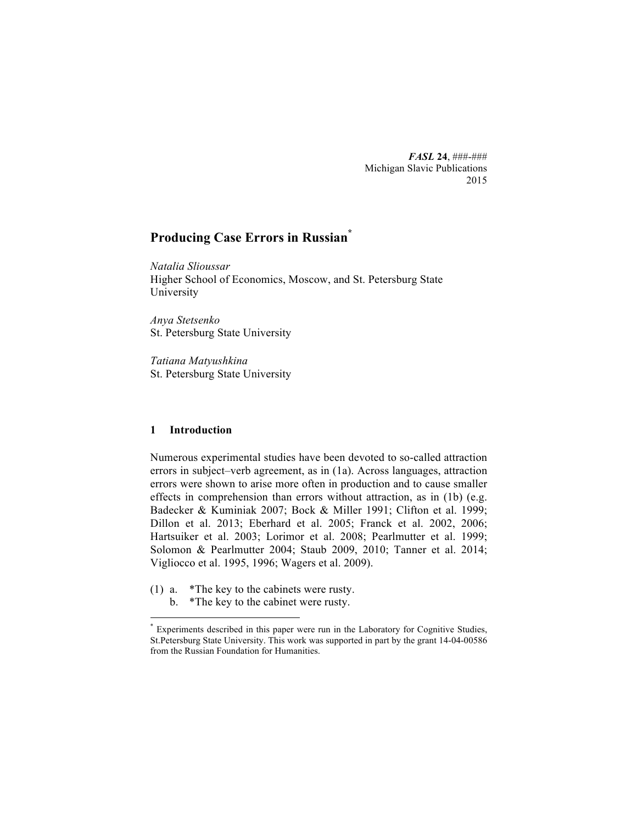*FASL* **24**, ###-### Michigan Slavic Publications 2015

# **Producing Case Errors in Russian\***

*Natalia Slioussar* Higher School of Economics, Moscow, and St. Petersburg State University

*Anya Stetsenko* St. Petersburg State University

*Tatiana Matyushkina* St. Petersburg State University

## **1 Introduction**

Numerous experimental studies have been devoted to so-called attraction errors in subject–verb agreement, as in (1a). Across languages, attraction errors were shown to arise more often in production and to cause smaller effects in comprehension than errors without attraction, as in (1b) (e.g. Badecker & Kuminiak 2007; Bock & Miller 1991; Clifton et al. 1999; Dillon et al. 2013; Eberhard et al. 2005; Franck et al. 2002, 2006; Hartsuiker et al. 2003; Lorimor et al. 2008; Pearlmutter et al. 1999; Solomon & Pearlmutter 2004; Staub 2009, 2010; Tanner et al. 2014; Vigliocco et al. 1995, 1996; Wagers et al. 2009).

(1) a. \*The key to the cabinets were rusty.

<u> 1989 - Johann Barn, mars ann an t-Amhain an t-Amhain an t-Amhain an t-Amhain an t-Amhain an t-Amhain an t-Amh</u>

b. \*The key to the cabinet were rusty.

Experiments described in this paper were run in the Laboratory for Cognitive Studies, St.Petersburg State University. This work was supported in part by the grant 14-04-00586 from the Russian Foundation for Humanities.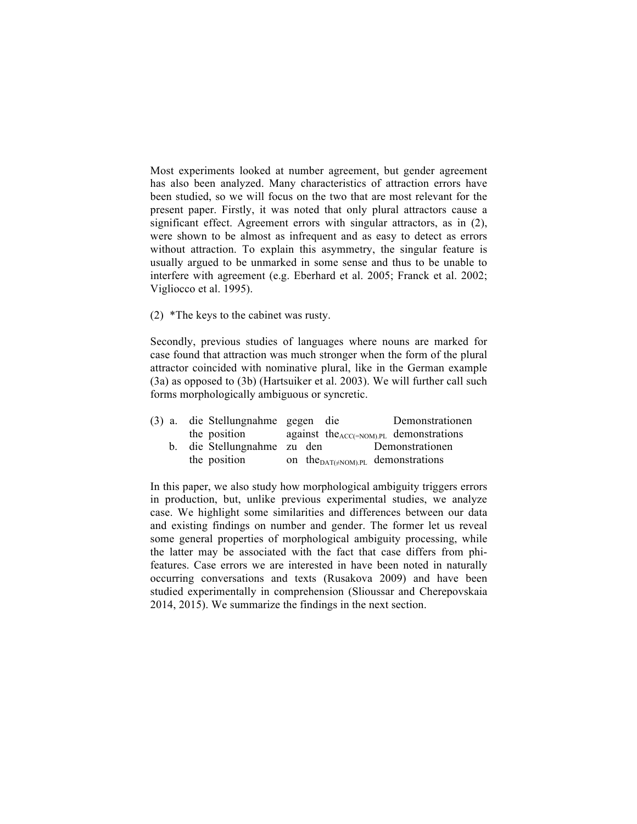Most experiments looked at number agreement, but gender agreement has also been analyzed. Many characteristics of attraction errors have been studied, so we will focus on the two that are most relevant for the present paper. Firstly, it was noted that only plural attractors cause a significant effect. Agreement errors with singular attractors, as in (2), were shown to be almost as infrequent and as easy to detect as errors without attraction. To explain this asymmetry, the singular feature is usually argued to be unmarked in some sense and thus to be unable to interfere with agreement (e.g. Eberhard et al. 2005; Franck et al. 2002; Vigliocco et al. 1995).

(2) \*The keys to the cabinet was rusty.

Secondly, previous studies of languages where nouns are marked for case found that attraction was much stronger when the form of the plural attractor coincided with nominative plural, like in the German example (3a) as opposed to (3b) (Hartsuiker et al. 2003). We will further call such forms morphologically ambiguous or syncretic.

| (3) a. die Stellungnahme gegen die | Demonstrationen                              |
|------------------------------------|----------------------------------------------|
| the position                       | against the $_{ACC(=NOM).PL}$ demonstrations |
| b. die Stellungnahme zu den        | Demonstrationen                              |
| the position                       | on the $_{DATA(\neq NOM).PL}$ demonstrations |

In this paper, we also study how morphological ambiguity triggers errors in production, but, unlike previous experimental studies, we analyze case. We highlight some similarities and differences between our data and existing findings on number and gender. The former let us reveal some general properties of morphological ambiguity processing, while the latter may be associated with the fact that case differs from phifeatures. Case errors we are interested in have been noted in naturally occurring conversations and texts (Rusakova 2009) and have been studied experimentally in comprehension (Slioussar and Cherepovskaia 2014, 2015). We summarize the findings in the next section.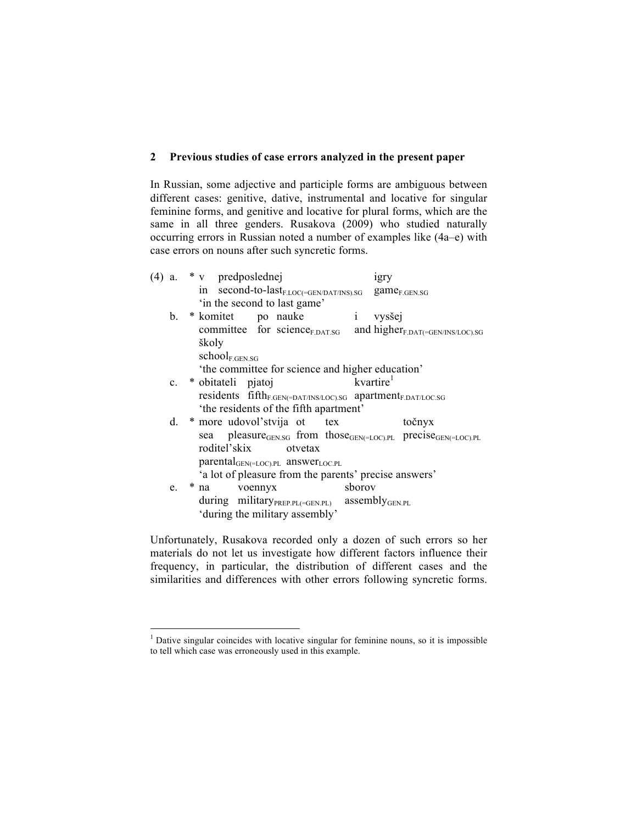## **2 Previous studies of case errors analyzed in the present paper**

In Russian, some adjective and participle forms are ambiguous between different cases: genitive, dative, instrumental and locative for singular feminine forms, and genitive and locative for plural forms, which are the same in all three genders. Rusakova (2009) who studied naturally occurring errors in Russian noted a number of examples like (4a–e) with case errors on nouns after such syncretic forms.

| $(4)$ a. |    | * v predposlednej                                                                                 | 1gry                  |  |
|----------|----|---------------------------------------------------------------------------------------------------|-----------------------|--|
|          |    | in second-to-last <sub>F.LOC(=GEN/DAT/INS).SG</sub>                                               | $game_{F.GEN.SG}$     |  |
|          |    | 'in the second to last game'                                                                      |                       |  |
|          |    | b. * komitet po nauke i vysšej                                                                    |                       |  |
|          |    | committee for science <sub>F.DAT.SG</sub> and higher <sub>F.DAT</sub> (=GEN/INS/LOC).SG           |                       |  |
|          |    | školy                                                                                             |                       |  |
|          |    | $school_{F.GEN.SG}$                                                                               |                       |  |
|          |    | 'the committee for science and higher education'                                                  |                       |  |
|          |    | c. * obitateli pjatoj                                                                             | kvartire <sup>1</sup> |  |
|          |    | residents fifth <sub>F.GEN(=DAT/INS/LOC).SG</sub> apartment <sub>F.DAT/LOC.SG</sub>               |                       |  |
|          |    | 'the residents of the fifth apartment'                                                            |                       |  |
|          |    | d. * more udovol'stvija ot tex                                                                    | točnyx                |  |
|          |    | sea pleasure <sub>GEN.SG</sub> from those <sub>GEN(=LOC).PL</sub> precise <sub>GEN(=LOC).PL</sub> |                       |  |
|          |    | roditel'skix otvetax                                                                              |                       |  |
|          |    | $\text{parental}_{\text{GEN}(\text{=LOC}).\text{PL}}$ answer <sub>LOC.PL</sub>                    |                       |  |
|          |    | 'a lot of pleasure from the parents' precise answers'                                             |                       |  |
|          | e. | sborov<br>* na voennyx                                                                            |                       |  |
|          |    | during military PREP.PL(=GEN.PL) assembly GEN.PL                                                  |                       |  |
|          |    | 'during the military assembly'                                                                    |                       |  |
|          |    |                                                                                                   |                       |  |

Unfortunately, Rusakova recorded only a dozen of such errors so her materials do not let us investigate how different factors influence their frequency, in particular, the distribution of different cases and the similarities and differences with other errors following syncretic forms.

<u> 1989 - Johann Barn, mars ann an t-Amhain an t-Amhain an t-Amhain an t-Amhain an t-Amhain an t-Amhain an t-Amh</u>

 $1$  Dative singular coincides with locative singular for feminine nouns, so it is impossible to tell which case was erroneously used in this example.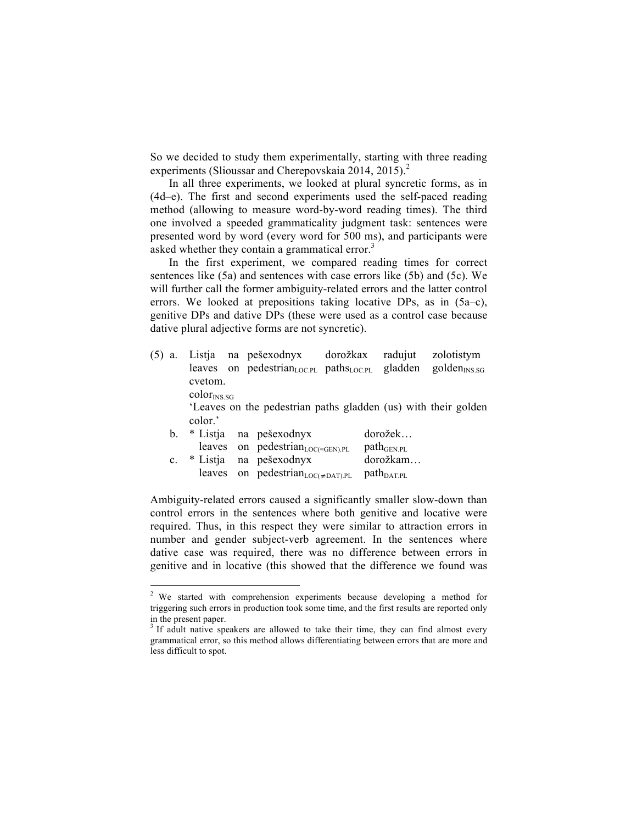So we decided to study them experimentally, starting with three reading experiments (Slioussar and Cherepovskaia 2014, 2015).<sup>2</sup>

In all three experiments, we looked at plural syncretic forms, as in (4d–e). The first and second experiments used the self-paced reading method (allowing to measure word-by-word reading times). The third one involved a speeded grammaticality judgment task: sentences were presented word by word (every word for 500 ms), and participants were asked whether they contain a grammatical error.<sup>3</sup>

In the first experiment, we compared reading times for correct sentences like (5a) and sentences with case errors like (5b) and (5c). We will further call the former ambiguity-related errors and the latter control errors. We looked at prepositions taking locative DPs, as in (5a–c), genitive DPs and dative DPs (these were used as a control case because dative plural adjective forms are not syncretic).

(5) a. Listja na pešexodnyx dorožkax radujut zolotistym leaves on pedestrian<sub>LOC.PL</sub> paths<sub>LOC.PL</sub> gladden golden<sub>INS.SG</sub> cvetom.  $color_{\rm{INS. SG}}$ 

'Leaves on the pedestrian paths gladden (us) with their golden color.'

| b.          |  | * Listja na pešexodnyx                                       | dorožek                |
|-------------|--|--------------------------------------------------------------|------------------------|
|             |  | leaves on pedestrian <sub>LOC(=GEN).PL</sub>                 | $path_{GEN.PL}$        |
| $c_{\cdot}$ |  | * Listja na pešexodnyx                                       | dorožkam               |
|             |  | leaves on pedestrian <sub>LOC(<math>\neq</math>DAT).PL</sub> | $path_{\text{DAT.PL}}$ |

 

Ambiguity-related errors caused a significantly smaller slow-down than control errors in the sentences where both genitive and locative were required. Thus, in this respect they were similar to attraction errors in number and gender subject-verb agreement. In the sentences where dative case was required, there was no difference between errors in genitive and in locative (this showed that the difference we found was

<sup>&</sup>lt;sup>2</sup> We started with comprehension experiments because developing a method for triggering such errors in production took some time, and the first results are reported only in the present paper.

<sup>&</sup>lt;sup>3</sup> If adult native speakers are allowed to take their time, they can find almost every grammatical error, so this method allows differentiating between errors that are more and less difficult to spot.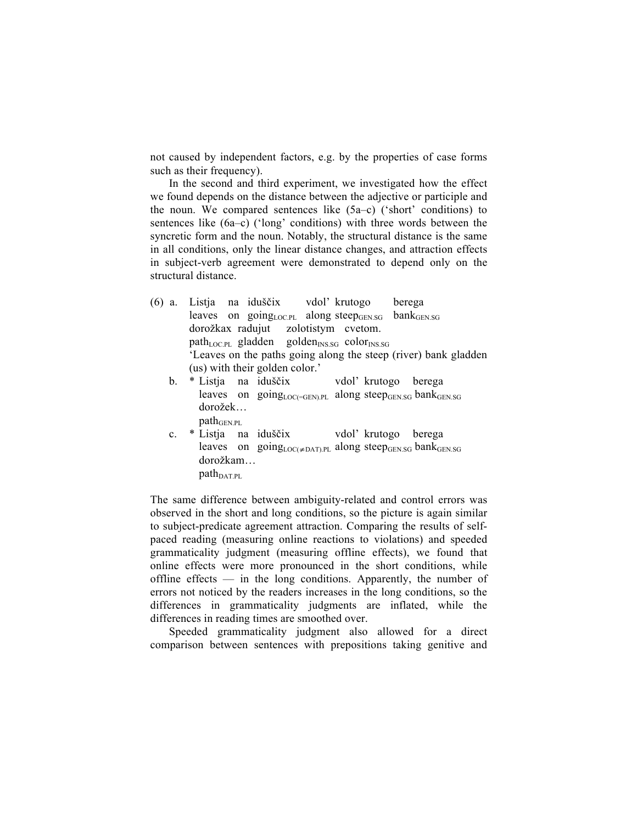not caused by independent factors, e.g. by the properties of case forms such as their frequency).

In the second and third experiment, we investigated how the effect we found depends on the distance between the adjective or participle and the noun. We compared sentences like (5a–c) ('short' conditions) to sentences like (6a–c) ('long' conditions) with three words between the syncretic form and the noun. Notably, the structural distance is the same in all conditions, only the linear distance changes, and attraction effects in subject-verb agreement were demonstrated to depend only on the structural distance.

- (6) a. Listja na iduščix vdol' krutogo berega leaves on going<sub>LOC.PL</sub> along steep $_{\text{GENSG}}$  bank $_{\text{GENSG}}$ dorožkax radujut zolotistym cvetom.  $path_{LOC.PL}$  gladden golden<sub>INS.SG</sub> color<sub>INS.SG</sub> 'Leaves on the paths going along the steep (river) bank gladden (us) with their golden color.'
	- b. \* Listja na iduščix vdol' krutogo berega leaves on going $_{\text{LOC}(\text{GEN},\text{PL})}$  along steep $_{\text{GENSG}}$  bank $_{\text{GENSG}}$  dorožek…  $path_{\text{GFN-PI}}$
	- c. \* Listja na iduščix vdol' krutogo berega leaves on going<sub>LOC(≠DAT).PL</sub> along steep<sub>GEN.SG</sub> bank<sub>GEN.SG</sub> dorožkam…  $path_{DATA.PL}$

The same difference between ambiguity-related and control errors was observed in the short and long conditions, so the picture is again similar to subject-predicate agreement attraction. Comparing the results of selfpaced reading (measuring online reactions to violations) and speeded grammaticality judgment (measuring offline effects), we found that online effects were more pronounced in the short conditions, while offline effects — in the long conditions. Apparently, the number of errors not noticed by the readers increases in the long conditions, so the differences in grammaticality judgments are inflated, while the differences in reading times are smoothed over.

Speeded grammaticality judgment also allowed for a direct comparison between sentences with prepositions taking genitive and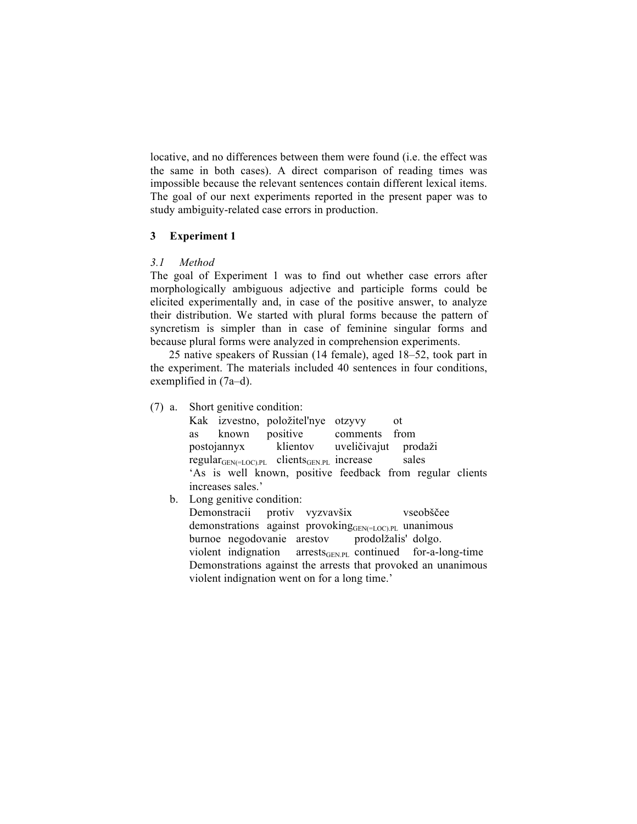locative, and no differences between them were found (i.e. the effect was the same in both cases). A direct comparison of reading times was impossible because the relevant sentences contain different lexical items. The goal of our next experiments reported in the present paper was to study ambiguity-related case errors in production.

## **3 Experiment 1**

# *3.1 Method*

The goal of Experiment 1 was to find out whether case errors after morphologically ambiguous adjective and participle forms could be elicited experimentally and, in case of the positive answer, to analyze their distribution. We started with plural forms because the pattern of syncretism is simpler than in case of feminine singular forms and because plural forms were analyzed in comprehension experiments.

25 native speakers of Russian (14 female), aged 18–52, took part in the experiment. The materials included 40 sentences in four conditions, exemplified in (7a–d).

(7) a. Short genitive condition:

Kak izvestno, položitel'nye otzyvy ot as known positive comments from postojannyx klientov uveličivajut prodaži  $regular_{GEN(=LOC),PL}$  clients<sub>GEN.PL</sub> increase sales 'As is well known, positive feedback from regular clients increases sales.'

b. Long genitive condition:

Demonstracii protiv vyzvavšix vseobščee demonstrations against provoking<sub>GEN(=LOC).PL</sub> unanimous burnoe negodovanie arestov prodolžalis' dolgo. violent indignation arrests $_{\text{GENPL}}$  continued for-a-long-time Demonstrations against the arrests that provoked an unanimous violent indignation went on for a long time.'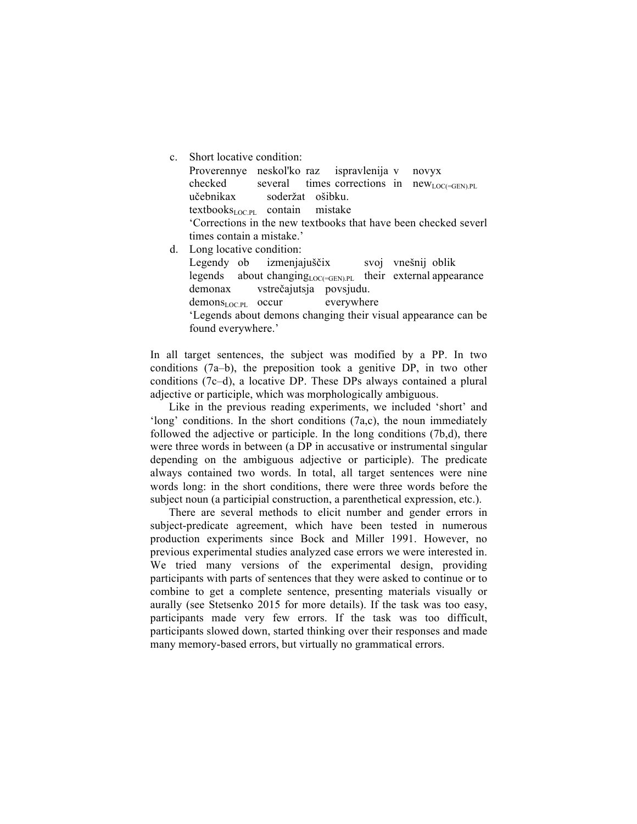| $\mathbf{c}$ . | Short locative condition:                                                        |  |  |  |  |  |  |
|----------------|----------------------------------------------------------------------------------|--|--|--|--|--|--|
|                | Proverennye neskol'ko raz ispravlenija v novyx                                   |  |  |  |  |  |  |
|                | checked several times corrections in new <sub>LOC(=GEN).PL</sub>                 |  |  |  |  |  |  |
|                | učebnikax soderžat ošibku.                                                       |  |  |  |  |  |  |
|                | $textbooks_{\text{LOC PL}}$ contain mistake                                      |  |  |  |  |  |  |
|                | Corrections in the new textbooks that have been checked severl                   |  |  |  |  |  |  |
|                | times contain a mistake.'                                                        |  |  |  |  |  |  |
| d.             | Long locative condition:                                                         |  |  |  |  |  |  |
|                | Legendy ob izmenjajuščix svoj vnešnij oblik                                      |  |  |  |  |  |  |
|                | legends about changing $_{\text{LOCC}=\text{GEN, PL}}$ their external appearance |  |  |  |  |  |  |
|                | demonax vstrečajutsja povsjudu.                                                  |  |  |  |  |  |  |
|                | $demonI.OCPI occur$ everywhere                                                   |  |  |  |  |  |  |
|                | 'Legends about demons changing their visual appearance can be                    |  |  |  |  |  |  |
|                | found everywhere.'                                                               |  |  |  |  |  |  |

In all target sentences, the subject was modified by a PP. In two conditions (7a–b), the preposition took a genitive DP, in two other conditions (7c–d), a locative DP. These DPs always contained a plural adjective or participle, which was morphologically ambiguous.

Like in the previous reading experiments, we included 'short' and 'long' conditions. In the short conditions (7a,c), the noun immediately followed the adjective or participle. In the long conditions (7b,d), there were three words in between (a DP in accusative or instrumental singular depending on the ambiguous adjective or participle). The predicate always contained two words. In total, all target sentences were nine words long: in the short conditions, there were three words before the subject noun (a participial construction, a parenthetical expression, etc.).

There are several methods to elicit number and gender errors in subject-predicate agreement, which have been tested in numerous production experiments since Bock and Miller 1991. However, no previous experimental studies analyzed case errors we were interested in. We tried many versions of the experimental design, providing participants with parts of sentences that they were asked to continue or to combine to get a complete sentence, presenting materials visually or aurally (see Stetsenko 2015 for more details). If the task was too easy, participants made very few errors. If the task was too difficult, participants slowed down, started thinking over their responses and made many memory-based errors, but virtually no grammatical errors.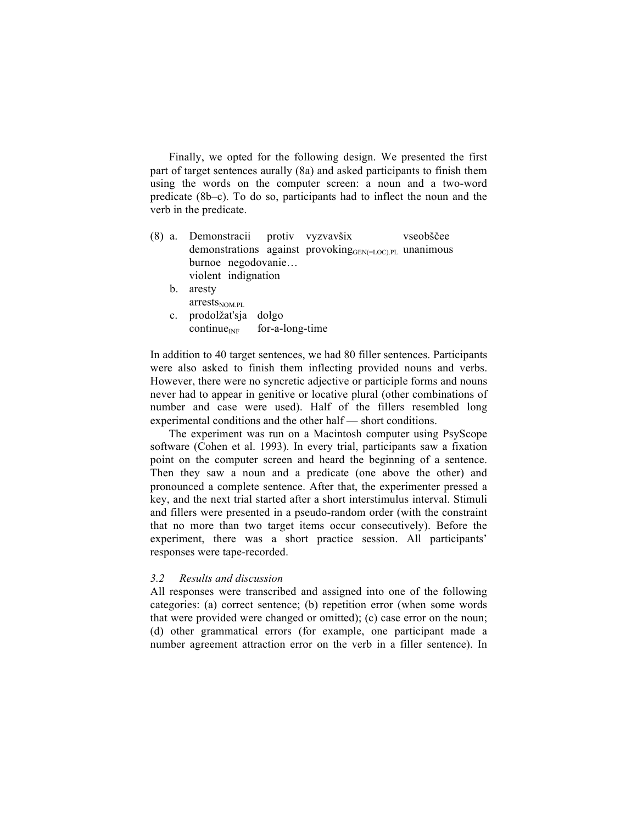Finally, we opted for the following design. We presented the first part of target sentences aurally (8a) and asked participants to finish them using the words on the computer screen: a noun and a two-word predicate (8b–c). To do so, participants had to inflect the noun and the verb in the predicate.

- (8) a. Demonstracii protiv vyzvavšix vseobščee demonstrations against provokingGEN(=LOC).PL unanimous burnoe negodovanie… violent indignation
	- b. aresty  $arrests<sub>NOM.PL</sub>$
	- c. prodolžat'sja dolgo  $\text{continue}_{\text{INF}}$  for-a-long-time

In addition to 40 target sentences, we had 80 filler sentences. Participants were also asked to finish them inflecting provided nouns and verbs. However, there were no syncretic adjective or participle forms and nouns never had to appear in genitive or locative plural (other combinations of number and case were used). Half of the fillers resembled long experimental conditions and the other half — short conditions.

The experiment was run on a Macintosh computer using PsyScope software (Cohen et al. 1993). In every trial, participants saw a fixation point on the computer screen and heard the beginning of a sentence. Then they saw a noun and a predicate (one above the other) and pronounced a complete sentence. After that, the experimenter pressed a key, and the next trial started after a short interstimulus interval. Stimuli and fillers were presented in a pseudo-random order (with the constraint that no more than two target items occur consecutively). Before the experiment, there was a short practice session. All participants' responses were tape-recorded.

## *3.2 Results and discussion*

All responses were transcribed and assigned into one of the following categories: (a) correct sentence; (b) repetition error (when some words that were provided were changed or omitted); (c) case error on the noun; (d) other grammatical errors (for example, one participant made a number agreement attraction error on the verb in a filler sentence). In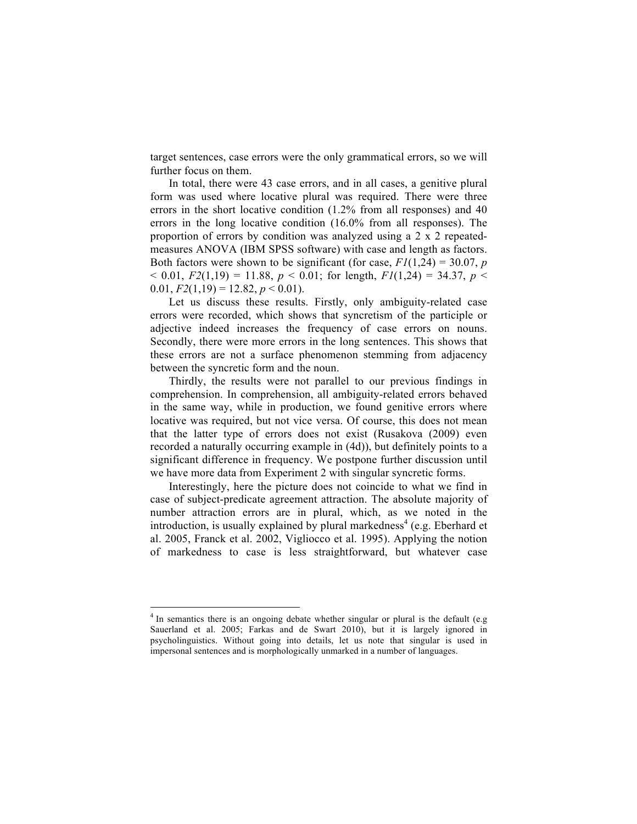target sentences, case errors were the only grammatical errors, so we will further focus on them.

In total, there were 43 case errors, and in all cases, a genitive plural form was used where locative plural was required. There were three errors in the short locative condition (1.2% from all responses) and 40 errors in the long locative condition (16.0% from all responses). The proportion of errors by condition was analyzed using a 2 x 2 repeatedmeasures ANOVA (IBM SPSS software) with case and length as factors. Both factors were shown to be significant (for case,  $F1(1,24) = 30.07$ , *p*  $<$  0.01,  $F2(1,19) = 11.88$ ,  $p < 0.01$ ; for length,  $F1(1,24) = 34.37$ ,  $p <$ 0.01,  $F2(1,19) = 12.82, p < 0.01$ .

Let us discuss these results. Firstly, only ambiguity-related case errors were recorded, which shows that syncretism of the participle or adjective indeed increases the frequency of case errors on nouns. Secondly, there were more errors in the long sentences. This shows that these errors are not a surface phenomenon stemming from adjacency between the syncretic form and the noun.

Thirdly, the results were not parallel to our previous findings in comprehension. In comprehension, all ambiguity-related errors behaved in the same way, while in production, we found genitive errors where locative was required, but not vice versa. Of course, this does not mean that the latter type of errors does not exist (Rusakova (2009) even recorded a naturally occurring example in (4d)), but definitely points to a significant difference in frequency. We postpone further discussion until we have more data from Experiment 2 with singular syncretic forms.

Interestingly, here the picture does not coincide to what we find in case of subject-predicate agreement attraction. The absolute majority of number attraction errors are in plural, which, as we noted in the introduction, is usually explained by plural markedness<sup>4</sup> (e.g. Eberhard et al. 2005, Franck et al. 2002, Vigliocco et al. 1995). Applying the notion of markedness to case is less straightforward, but whatever case

<u> 1989 - Johann Barn, mars ann an t-Amhain an t-Amhain an t-Amhain an t-Amhain an t-Amhain an t-Amhain an t-Amh</u>

 $4$  In semantics there is an ongoing debate whether singular or plural is the default (e.g. Sauerland et al. 2005; Farkas and de Swart 2010), but it is largely ignored in psycholinguistics. Without going into details, let us note that singular is used in impersonal sentences and is morphologically unmarked in a number of languages.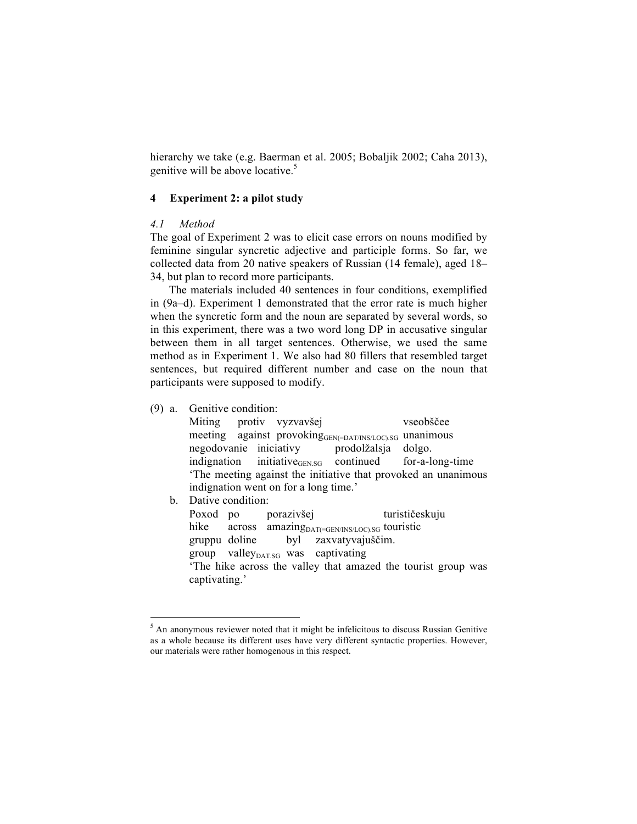hierarchy we take (e.g. Baerman et al. 2005; Bobaljik 2002; Caha 2013), genitive will be above locative.<sup>5</sup>

## **4 Experiment 2: a pilot study**

#### *4.1 Method*

The goal of Experiment 2 was to elicit case errors on nouns modified by feminine singular syncretic adjective and participle forms. So far, we collected data from 20 native speakers of Russian (14 female), aged 18– 34, but plan to record more participants.

The materials included 40 sentences in four conditions, exemplified in (9a–d). Experiment 1 demonstrated that the error rate is much higher when the syncretic form and the noun are separated by several words, so in this experiment, there was a two word long DP in accusative singular between them in all target sentences. Otherwise, we used the same method as in Experiment 1. We also had 80 fillers that resembled target sentences, but required different number and case on the noun that participants were supposed to modify.

(9) a. Genitive condition:

Miting protiv vyzvavšej vseobščee meeting against provokingGEN(=DAT/INS/LOC).SG unanimous negodovanie iniciativy prodolžalsja dolgo. indignation initiative<sub>GEN.SG</sub> continued for-a-long-time 'The meeting against the initiative that provoked an unanimous indignation went on for a long time.'

b. Dative condition:

<u> 1989 - Johann Barn, mars ann an t-Amhain an t-Amhain an t-Amhain an t-Amhain an t-Amhain an t-Amhain an t-Amh</u>

Poxod po porazivšej turističeskuju hike across amazing $_{\text{DATA}}$ <sub>GEN/INS/LOC)</sub>.sg touristic gruppu doline byl zaxvatyvajuščim. group valley<sub>DAT.SG</sub> was captivating 'The hike across the valley that amazed the tourist group was captivating.'

<sup>&</sup>lt;sup>5</sup> An anonymous reviewer noted that it might be infelicitous to discuss Russian Genitive as a whole because its different uses have very different syntactic properties. However, our materials were rather homogenous in this respect.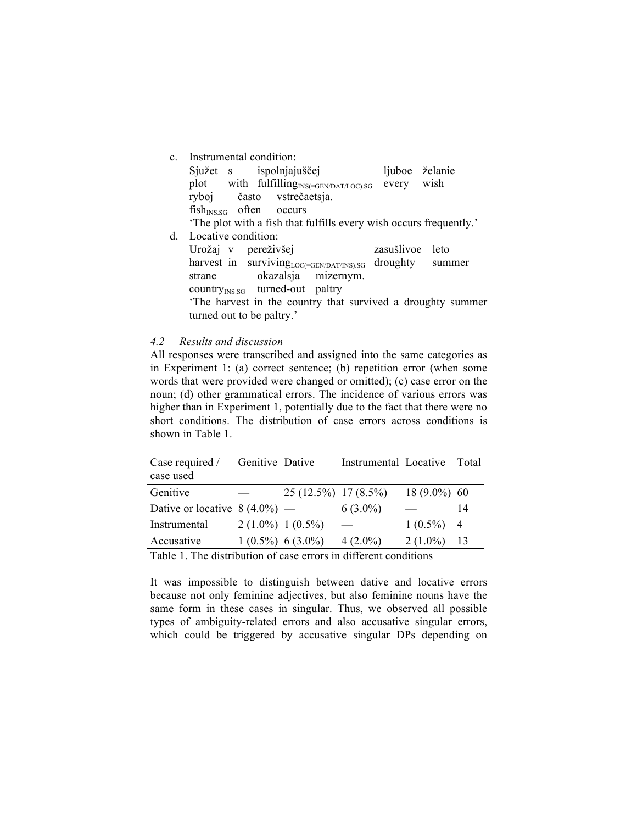| $c_{-}$      | Instrumental condition:                                            |                 |                 |
|--------------|--------------------------------------------------------------------|-----------------|-----------------|
|              | Sjužet s ispolnjajuščej                                            | ljuboe želanie  |                 |
|              | plot with fulfilling <sub>INS(=GEN/DAT/LOC).SG</sub>               | every           | wish            |
|              | ryboj často vstrečaetsja.                                          |                 |                 |
|              | $fishINS SG$ often occurs                                          |                 |                 |
|              | 'The plot with a fish that fulfills every wish occurs frequently.' |                 |                 |
| <sub>d</sub> | Locative condition:                                                |                 |                 |
|              | Urožaj v pereživšej                                                | zasušlivoe leto |                 |
|              | harvest in surviving LOC(=GEN/DAT/INS).SG                          |                 | droughty summer |
|              | okazalsja mizernym.<br>strane                                      |                 |                 |
|              | country <sub>INS.SG</sub> turned-out paltry                        |                 |                 |
|              | The harvest in the country that survived a droughty summer         |                 |                 |
|              | turned out to be paltry.'                                          |                 |                 |

#### *4.2 Results and discussion*

All responses were transcribed and assigned into the same categories as in Experiment 1: (a) correct sentence; (b) repetition error (when some words that were provided were changed or omitted); (c) case error on the noun; (d) other grammatical errors. The incidence of various errors was higher than in Experiment 1, potentially due to the fact that there were no short conditions. The distribution of case errors across conditions is shown in Table 1.

| Case required /                 | Genitive Dative     |                        | Instrumental Locative Total |                |    |
|---------------------------------|---------------------|------------------------|-----------------------------|----------------|----|
| case used                       |                     |                        |                             |                |    |
| Genitive                        | $\frac{1}{2}$       | $25(12.5\%)$ 17 (8.5%) |                             | $18(9.0\%)$ 60 |    |
| Dative or locative $8(4.0\%)$ — |                     |                        | $6(3.0\%)$                  |                | 14 |
| Instrumental                    | $2(1.0\%) 1(0.5\%)$ |                        |                             | $1(0.5\%)$ 4   |    |
| Accusative                      |                     | $1(0.5\%) 6(3.0\%)$    | $4(2.0\%)$                  | $2(1.0\%)$     | 13 |
|                                 |                     |                        |                             |                |    |

Table 1. The distribution of case errors in different conditions

It was impossible to distinguish between dative and locative errors because not only feminine adjectives, but also feminine nouns have the same form in these cases in singular. Thus, we observed all possible types of ambiguity-related errors and also accusative singular errors, which could be triggered by accusative singular DPs depending on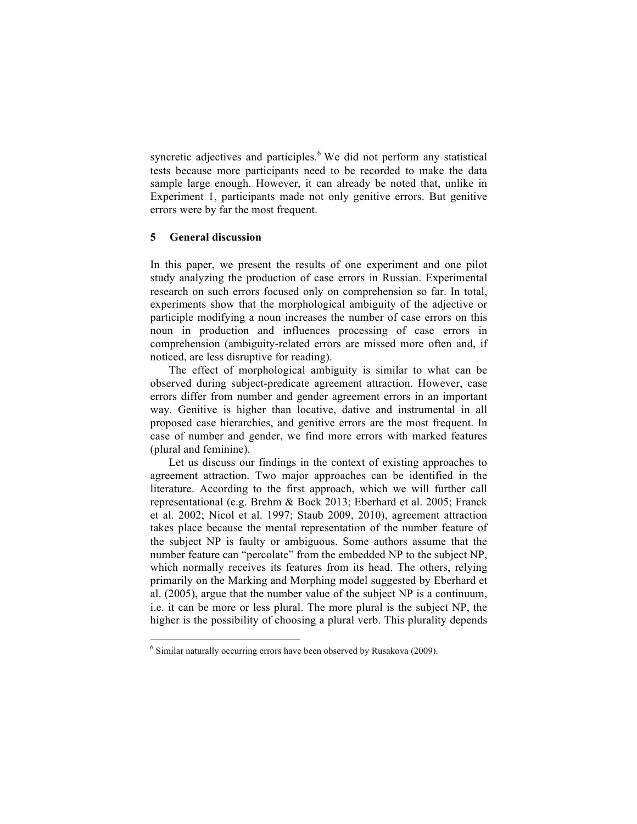syncretic adjectives and participles.<sup>6</sup> We did not perform any statistical tests because more participants need to be recorded to make the data sample large enough. However, it can already be noted that, unlike in Experiment 1, participants made not only genitive errors. But genitive errors were by far the most frequent.

# **5 General discussion**

In this paper, we present the results of one experiment and one pilot study analyzing the production of case errors in Russian. Experimental research on such errors focused only on comprehension so far. In total, experiments show that the morphological ambiguity of the adjective or participle modifying a noun increases the number of case errors on this noun in production and influences processing of case errors in comprehension (ambiguity-related errors are missed more often and, if noticed, are less disruptive for reading).

The effect of morphological ambiguity is similar to what can be observed during subject-predicate agreement attraction. However, case errors differ from number and gender agreement errors in an important way. Genitive is higher than locative, dative and instrumental in all proposed case hierarchies, and genitive errors are the most frequent. In case of number and gender, we find more errors with marked features (plural and feminine).

Let us discuss our findings in the context of existing approaches to agreement attraction. Two major approaches can be identified in the literature. According to the first approach, which we will further call representational (e.g. Brehm & Bock 2013; Eberhard et al. 2005; Franck et al. 2002; Nicol et al. 1997; Staub 2009, 2010), agreement attraction takes place because the mental representation of the number feature of the subject NP is faulty or ambiguous. Some authors assume that the number feature can "percolate" from the embedded NP to the subject NP, which normally receives its features from its head. The others, relying primarily on the Marking and Morphing model suggested by Eberhard et al. (2005), argue that the number value of the subject NP is a continuum, i.e. it can be more or less plural. The more plural is the subject NP, the higher is the possibility of choosing a plural verb. This plurality depends

<u> 1989 - Johann Barn, mars ann an t-Amhain an t-Amhain an t-Amhain an t-Amhain an t-Amhain an t-Amhain an t-Amh</u>

<sup>&</sup>lt;sup>6</sup> Similar naturally occurring errors have been observed by Rusakova (2009).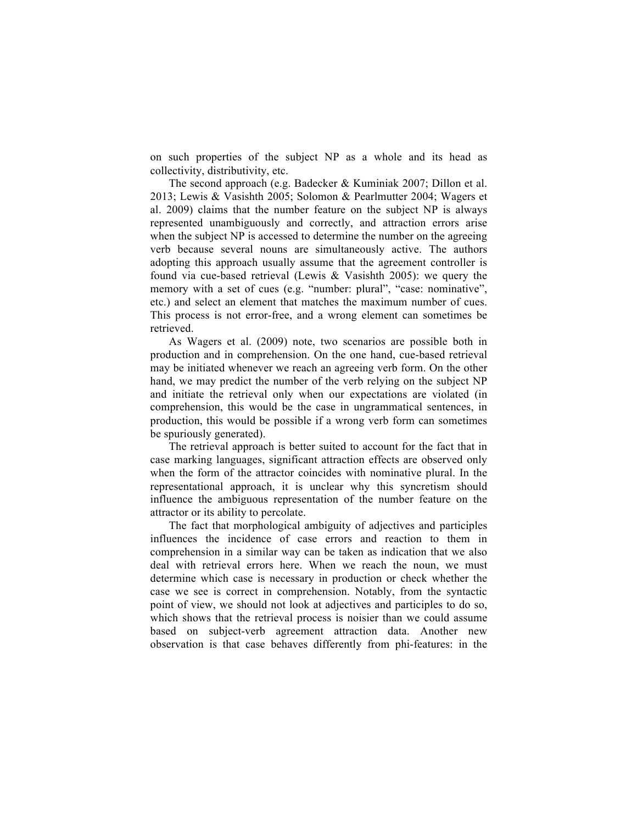on such properties of the subject NP as a whole and its head as collectivity, distributivity, etc.

The second approach (e.g. Badecker & Kuminiak 2007; Dillon et al. 2013; Lewis & Vasishth 2005; Solomon & Pearlmutter 2004; Wagers et al. 2009) claims that the number feature on the subject NP is always represented unambiguously and correctly, and attraction errors arise when the subject NP is accessed to determine the number on the agreeing verb because several nouns are simultaneously active. The authors adopting this approach usually assume that the agreement controller is found via cue-based retrieval (Lewis & Vasishth 2005): we query the memory with a set of cues (e.g. "number: plural", "case: nominative", etc.) and select an element that matches the maximum number of cues. This process is not error-free, and a wrong element can sometimes be retrieved.

As Wagers et al. (2009) note, two scenarios are possible both in production and in comprehension. On the one hand, cue-based retrieval may be initiated whenever we reach an agreeing verb form. On the other hand, we may predict the number of the verb relying on the subject NP and initiate the retrieval only when our expectations are violated (in comprehension, this would be the case in ungrammatical sentences, in production, this would be possible if a wrong verb form can sometimes be spuriously generated).

The retrieval approach is better suited to account for the fact that in case marking languages, significant attraction effects are observed only when the form of the attractor coincides with nominative plural. In the representational approach, it is unclear why this syncretism should influence the ambiguous representation of the number feature on the attractor or its ability to percolate.

The fact that morphological ambiguity of adjectives and participles influences the incidence of case errors and reaction to them in comprehension in a similar way can be taken as indication that we also deal with retrieval errors here. When we reach the noun, we must determine which case is necessary in production or check whether the case we see is correct in comprehension. Notably, from the syntactic point of view, we should not look at adjectives and participles to do so, which shows that the retrieval process is noisier than we could assume based on subject-verb agreement attraction data. Another new observation is that case behaves differently from phi-features: in the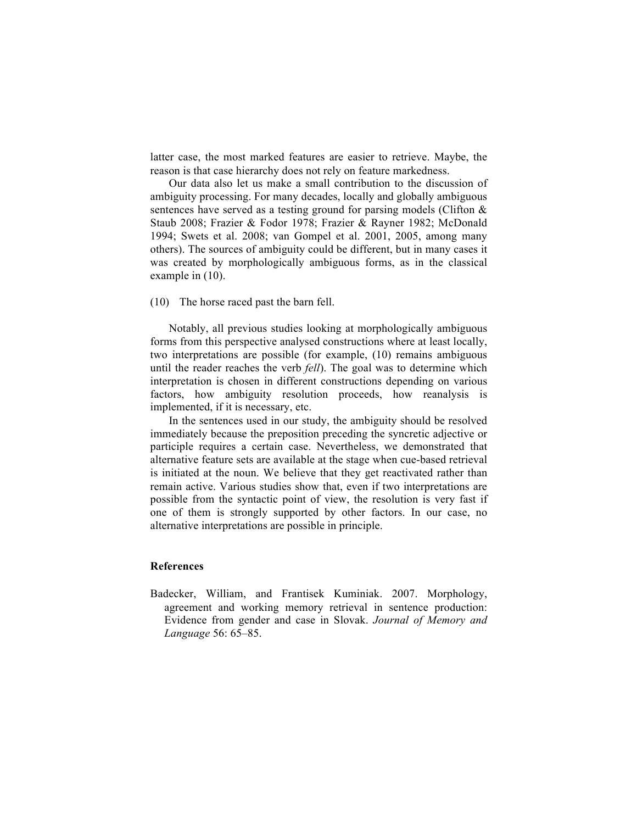latter case, the most marked features are easier to retrieve. Maybe, the reason is that case hierarchy does not rely on feature markedness.

Our data also let us make a small contribution to the discussion of ambiguity processing. For many decades, locally and globally ambiguous sentences have served as a testing ground for parsing models (Clifton & Staub 2008; Frazier & Fodor 1978; Frazier & Rayner 1982; McDonald 1994; Swets et al. 2008; van Gompel et al. 2001, 2005, among many others). The sources of ambiguity could be different, but in many cases it was created by morphologically ambiguous forms, as in the classical example in (10).

(10) The horse raced past the barn fell.

Notably, all previous studies looking at morphologically ambiguous forms from this perspective analysed constructions where at least locally, two interpretations are possible (for example, (10) remains ambiguous until the reader reaches the verb *fell*). The goal was to determine which interpretation is chosen in different constructions depending on various factors, how ambiguity resolution proceeds, how reanalysis is implemented, if it is necessary, etc.

In the sentences used in our study, the ambiguity should be resolved immediately because the preposition preceding the syncretic adjective or participle requires a certain case. Nevertheless, we demonstrated that alternative feature sets are available at the stage when cue-based retrieval is initiated at the noun. We believe that they get reactivated rather than remain active. Various studies show that, even if two interpretations are possible from the syntactic point of view, the resolution is very fast if one of them is strongly supported by other factors. In our case, no alternative interpretations are possible in principle.

#### **References**

Badecker, William, and Frantisek Kuminiak. 2007. Morphology, agreement and working memory retrieval in sentence production: Evidence from gender and case in Slovak. *Journal of Memory and Language* 56: 65–85.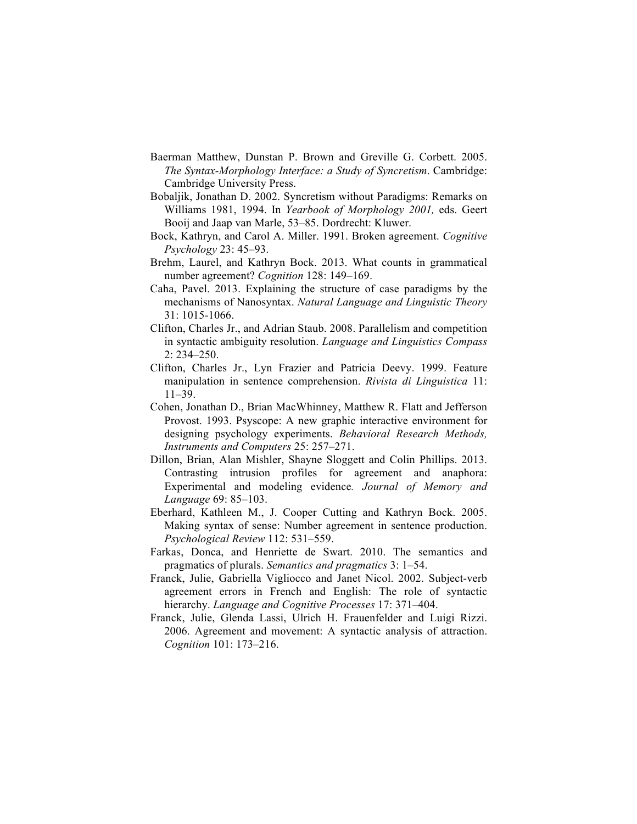- Baerman Matthew, Dunstan P. Brown and Greville G. Corbett. 2005. *The Syntax-Morphology Interface: a Study of Syncretism*. Cambridge: Cambridge University Press.
- Bobaljik, Jonathan D. 2002. Syncretism without Paradigms: Remarks on Williams 1981, 1994. In *Yearbook of Morphology 2001,* eds. Geert Booij and Jaap van Marle, 53–85. Dordrecht: Kluwer.
- Bock, Kathryn, and Carol A. Miller. 1991. Broken agreement. *Cognitive Psychology* 23: 45–93.
- Brehm, Laurel, and Kathryn Bock. 2013. What counts in grammatical number agreement? *Cognition* 128: 149–169.
- Caha, Pavel. 2013. Explaining the structure of case paradigms by the mechanisms of Nanosyntax. *Natural Language and Linguistic Theory* 31: 1015-1066.
- Clifton, Charles Jr., and Adrian Staub. 2008. Parallelism and competition in syntactic ambiguity resolution. *Language and Linguistics Compass* 2: 234–250.
- Clifton, Charles Jr., Lyn Frazier and Patricia Deevy. 1999. Feature manipulation in sentence comprehension. *Rivista di Linguistica* 11: 11–39.
- Cohen, Jonathan D., Brian MacWhinney, Matthew R. Flatt and Jefferson Provost. 1993. Psyscope: A new graphic interactive environment for designing psychology experiments. *Behavioral Research Methods, Instruments and Computers* 25: 257–271.
- Dillon, Brian, Alan Mishler, Shayne Sloggett and Colin Phillips. 2013. Contrasting intrusion profiles for agreement and anaphora: Experimental and modeling evidence*. Journal of Memory and Language* 69: 85–103.
- Eberhard, Kathleen M., J. Cooper Cutting and Kathryn Bock. 2005. Making syntax of sense: Number agreement in sentence production. *Psychological Review* 112: 531–559.
- Farkas, Donca, and Henriette de Swart. 2010. The semantics and pragmatics of plurals. *Semantics and pragmatics* 3: 1–54.
- Franck, Julie, Gabriella Vigliocco and Janet Nicol. 2002. Subject-verb agreement errors in French and English: The role of syntactic hierarchy. *Language and Cognitive Processes* 17: 371–404.
- Franck, Julie, Glenda Lassi, Ulrich H. Frauenfelder and Luigi Rizzi. 2006. Agreement and movement: A syntactic analysis of attraction. *Cognition* 101: 173–216.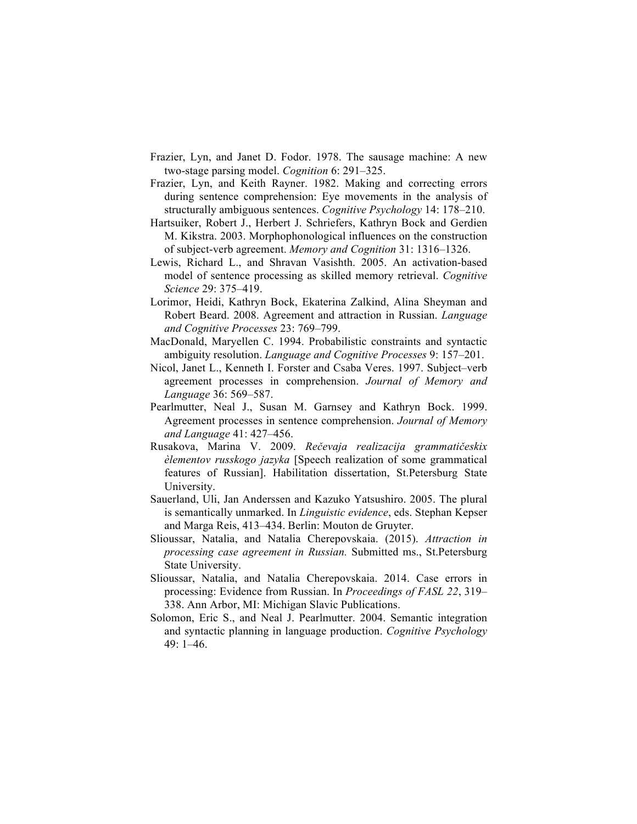- Frazier, Lyn, and Janet D. Fodor. 1978. The sausage machine: A new two-stage parsing model. *Cognition* 6: 291–325.
- Frazier, Lyn, and Keith Rayner. 1982. Making and correcting errors during sentence comprehension: Eye movements in the analysis of structurally ambiguous sentences. *Cognitive Psychology* 14: 178–210.
- Hartsuiker, Robert J., Herbert J. Schriefers, Kathryn Bock and Gerdien M. Kikstra. 2003. Morphophonological influences on the construction of subject-verb agreement. *Memory and Cognition* 31: 1316–1326.
- Lewis, Richard L., and Shravan Vasishth. 2005. An activation-based model of sentence processing as skilled memory retrieval. *Cognitive Science* 29: 375–419.
- Lorimor, Heidi, Kathryn Bock, Ekaterina Zalkind, Alina Sheyman and Robert Beard. 2008. Agreement and attraction in Russian. *Language and Cognitive Processes* 23: 769–799.
- MacDonald, Maryellen C. 1994. Probabilistic constraints and syntactic ambiguity resolution. *Language and Cognitive Processes* 9: 157–201.
- Nicol, Janet L., Kenneth I. Forster and Csaba Veres. 1997. Subject–verb agreement processes in comprehension. *Journal of Memory and Language* 36: 569–587.
- Pearlmutter, Neal J., Susan M. Garnsey and Kathryn Bock. 1999. Agreement processes in sentence comprehension. *Journal of Memory and Language* 41: 427–456.
- Rusakova, Marina V. 2009. *Rečevaja realizacija grammatičeskix èlementov russkogo jazyka* [Speech realization of some grammatical features of Russian]. Habilitation dissertation, St.Petersburg State University.
- Sauerland, Uli, Jan Anderssen and Kazuko Yatsushiro. 2005. The plural is semantically unmarked. In *Linguistic evidence*, eds. Stephan Kepser and Marga Reis, 413–434. Berlin: Mouton de Gruyter.
- Slioussar, Natalia, and Natalia Cherepovskaia. (2015). *Attraction in processing case agreement in Russian.* Submitted ms., St.Petersburg State University.
- Slioussar, Natalia, and Natalia Cherepovskaia. 2014. Case errors in processing: Evidence from Russian. In *Proceedings of FASL 22*, 319– 338. Ann Arbor, MI: Michigan Slavic Publications.
- Solomon, Eric S., and Neal J. Pearlmutter. 2004. Semantic integration and syntactic planning in language production. *Cognitive Psychology* 49: 1–46.